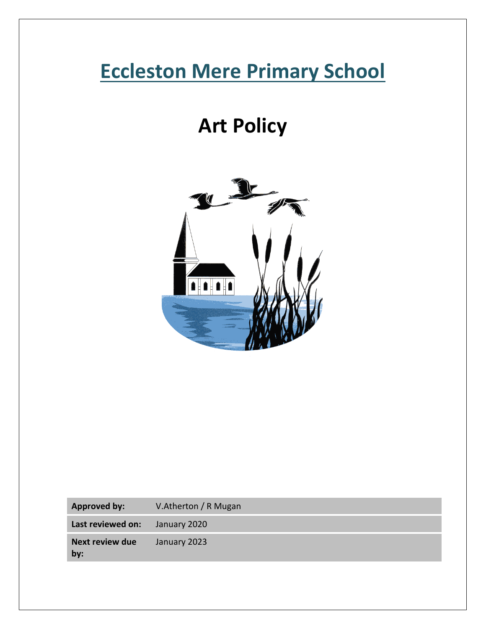# **Eccleston Mere Primary School**

# **Art Policy**



| <b>Approved by:</b> | V.Atherton / R Mugan |
|---------------------|----------------------|
|                     |                      |

**Last reviewed on:** January 2020

**Next review due by:** January 2023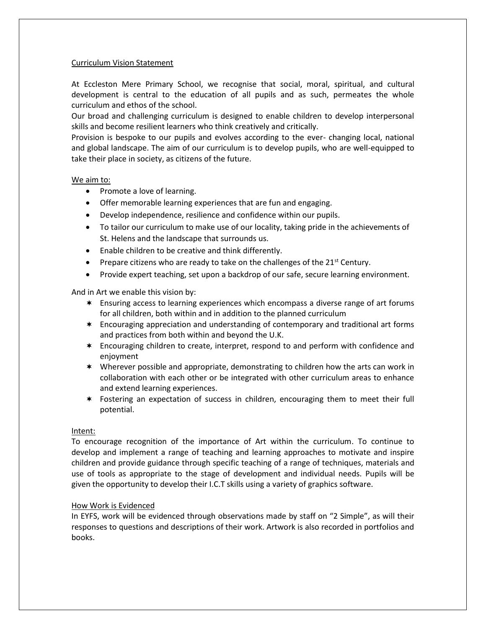# Curriculum Vision Statement

At Eccleston Mere Primary School, we recognise that social, moral, spiritual, and cultural development is central to the education of all pupils and as such, permeates the whole curriculum and ethos of the school.

Our broad and challenging curriculum is designed to enable children to develop interpersonal skills and become resilient learners who think creatively and critically.

Provision is bespoke to our pupils and evolves according to the ever- changing local, national and global landscape. The aim of our curriculum is to develop pupils, who are well-equipped to take their place in society, as citizens of the future.

# We aim to:

- Promote a love of learning.
- Offer memorable learning experiences that are fun and engaging.
- Develop independence, resilience and confidence within our pupils.
- To tailor our curriculum to make use of our locality, taking pride in the achievements of St. Helens and the landscape that surrounds us.
- Enable children to be creative and think differently.
- Prepare citizens who are ready to take on the challenges of the  $21<sup>st</sup>$  Century.
- Provide expert teaching, set upon a backdrop of our safe, secure learning environment.

And in Art we enable this vision by:

- Ensuring access to learning experiences which encompass a diverse range of art forums for all children, both within and in addition to the planned curriculum
- Encouraging appreciation and understanding of contemporary and traditional art forms and practices from both within and beyond the U.K.
- Encouraging children to create, interpret, respond to and perform with confidence and enjoyment
- Wherever possible and appropriate, demonstrating to children how the arts can work in collaboration with each other or be integrated with other curriculum areas to enhance and extend learning experiences.
- Fostering an expectation of success in children, encouraging them to meet their full potential.

# Intent:

To encourage recognition of the importance of Art within the curriculum. To continue to develop and implement a range of teaching and learning approaches to motivate and inspire children and provide guidance through specific teaching of a range of techniques, materials and use of tools as appropriate to the stage of development and individual needs. Pupils will be given the opportunity to develop their I.C.T skills using a variety of graphics software.

# How Work is Evidenced

In EYFS, work will be evidenced through observations made by staff on "2 Simple", as will their responses to questions and descriptions of their work. Artwork is also recorded in portfolios and books.